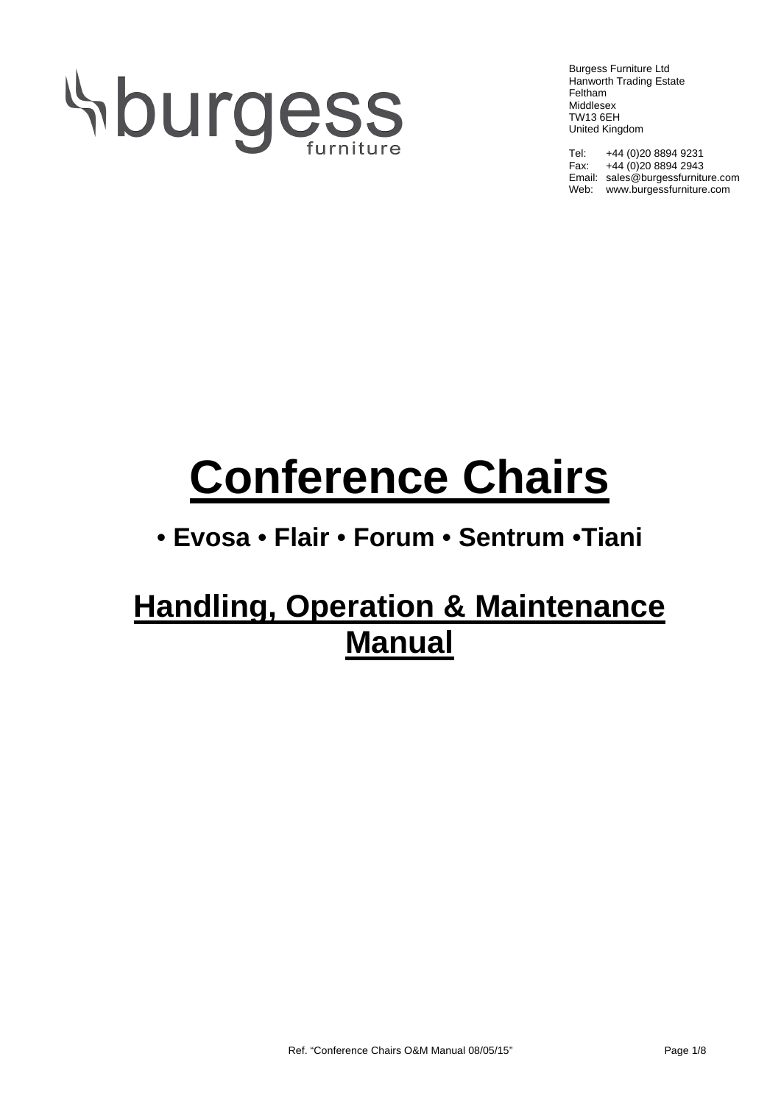# **Sburgess**

Burgess Furniture Ltd Hanworth Trading Estate Feltham Middlesex TW13 6EH United Kingdom

Tel: +44 (0)20 8894 9231 Fax:  $+44 (0)20 8894 2943$ Email: sales@burgessfurniture.com Web: www.burgessfurniture.com

# **Conference Chairs**

## • **Evosa** • **Flair** • **Forum** • **Sentrum** •**Tiani**

# **Handling, Operation & Maintenance Manual**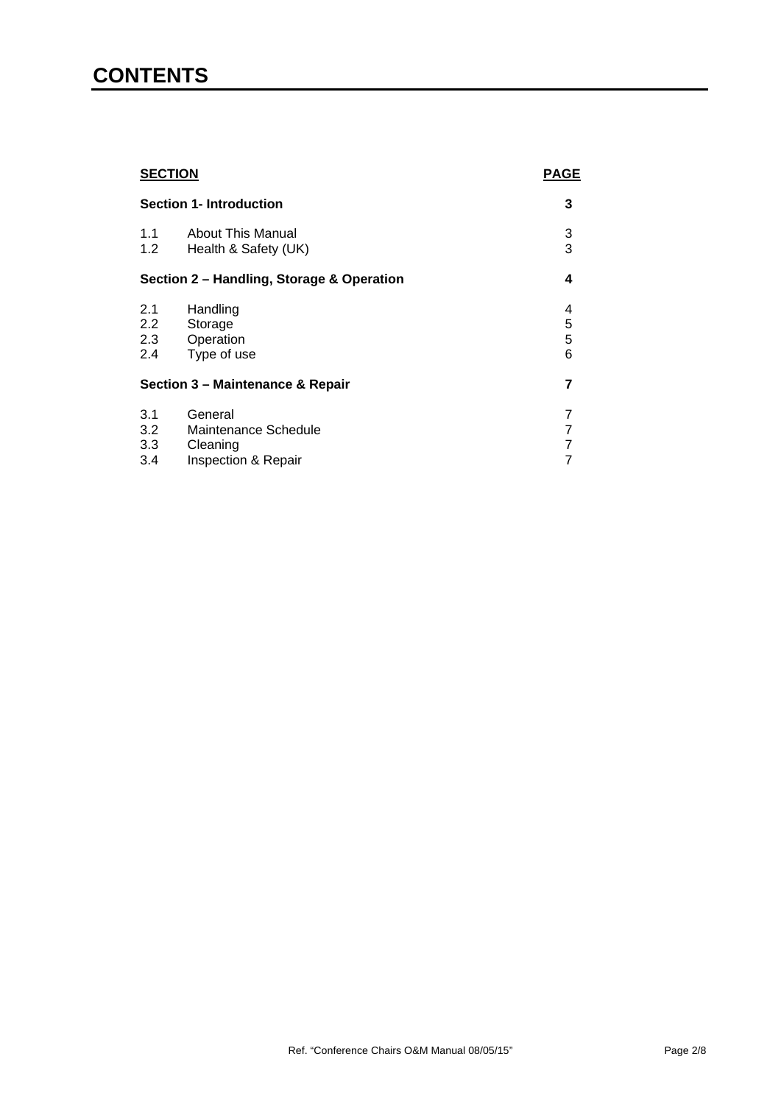### **CONTENTS**

| <b>SECTION</b>                            |                                                                    | <b>PAGE</b>      |
|-------------------------------------------|--------------------------------------------------------------------|------------------|
| <b>Section 1- Introduction</b>            |                                                                    | 3                |
| 1.1<br>1.2                                | About This Manual<br>Health & Safety (UK)                          | 3<br>3           |
| Section 2 – Handling, Storage & Operation |                                                                    |                  |
| 2.1<br>$2.2^{\circ}$<br>2.3<br>2.4        | Handling<br>Storage<br>Operation<br>Type of use                    | 4<br>5<br>5<br>6 |
| Section 3 - Maintenance & Repair          |                                                                    | 7                |
| 3.1<br>3.2<br>3.3<br>3.4                  | General<br>Maintenance Schedule<br>Cleaning<br>Inspection & Repair | 7<br>7<br>7<br>7 |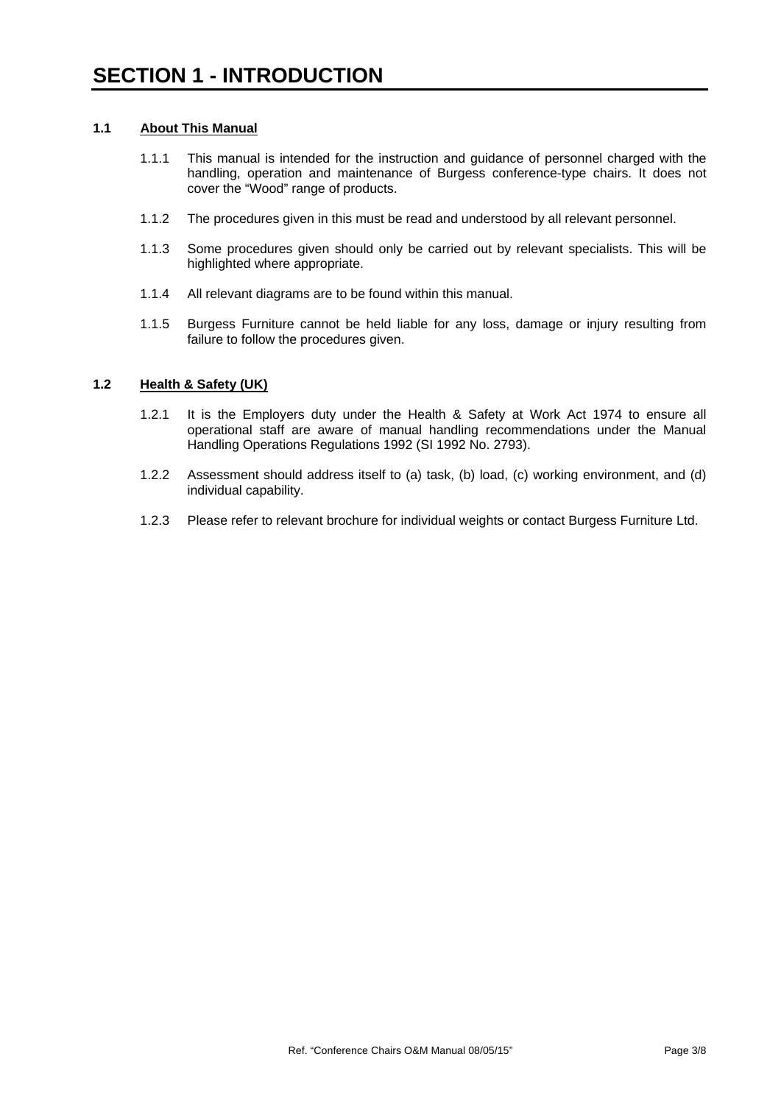#### **1.1 About This Manual**

- 1.1.1 This manual is intended for the instruction and guidance of personnel charged with the handling, operation and maintenance of Burgess conference-type chairs. It does not cover the "Wood" range of products.
- 1.1.2 The procedures given in this must be read and understood by all relevant personnel.
- 1.1.3 Some procedures given should only be carried out by relevant specialists. This will be highlighted where appropriate.
- 1.1.4 All relevant diagrams are to be found within this manual.
- 1.1.5 Burgess Furniture cannot be held liable for any loss, damage or injury resulting from failure to follow the procedures given.

#### **1.2 Health & Safety (UK)**

- 1.2.1 It is the Employers duty under the Health & Safety at Work Act 1974 to ensure all operational staff are aware of manual handling recommendations under the Manual Handling Operations Regulations 1992 (SI 1992 No. 2793).
- 1.2.2 Assessment should address itself to (a) task, (b) load, (c) working environment, and (d) individual capability.
- 1.2.3 Please refer to relevant brochure for individual weights or contact Burgess Furniture Ltd.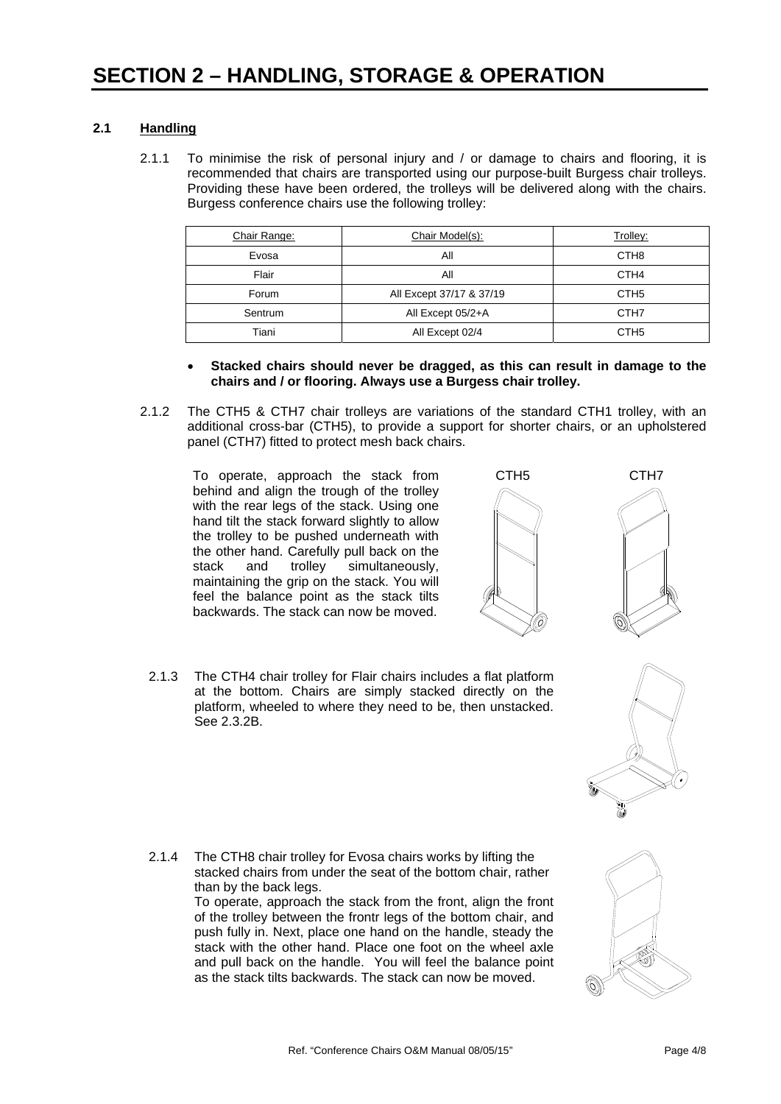#### **2.1 Handling**

2.1.1 To minimise the risk of personal injury and / or damage to chairs and flooring, it is recommended that chairs are transported using our purpose-built Burgess chair trolleys. Providing these have been ordered, the trolleys will be delivered along with the chairs. Burgess conference chairs use the following trolley:

| Chair Range: | Chair Model(s):          | Trolley:         |
|--------------|--------------------------|------------------|
| Evosa        | All                      | CTH <sub>8</sub> |
| Flair        | All                      | CTH <sub>4</sub> |
| Forum        | All Except 37/17 & 37/19 | CTH <sub>5</sub> |
| Sentrum      | All Except 05/2+A        | CTH <sub>7</sub> |
| Tiani        | All Except 02/4          | CTH <sub>5</sub> |

- **Stacked chairs should never be dragged, as this can result in damage to the chairs and / or flooring. Always use a Burgess chair trolley.**
- 2.1.2 The CTH5 & CTH7 chair trolleys are variations of the standard CTH1 trolley, with an additional cross-bar (CTH5), to provide a support for shorter chairs, or an upholstered panel (CTH7) fitted to protect mesh back chairs.

To operate, approach the stack from behind and align the trough of the trolley with the rear legs of the stack. Using one hand tilt the stack forward slightly to allow the trolley to be pushed underneath with the other hand. Carefully pull back on the stack and trolley simultaneously, maintaining the grip on the stack. You will feel the balance point as the stack tilts backwards. The stack can now be moved.

than by the back legs.





2.1.3 The CTH4 chair trolley for Flair chairs includes a flat platform at the bottom. Chairs are simply stacked directly on the platform, wheeled to where they need to be, then unstacked. See 2.3.2B.



as the stack tilts backwards. The stack can now be moved.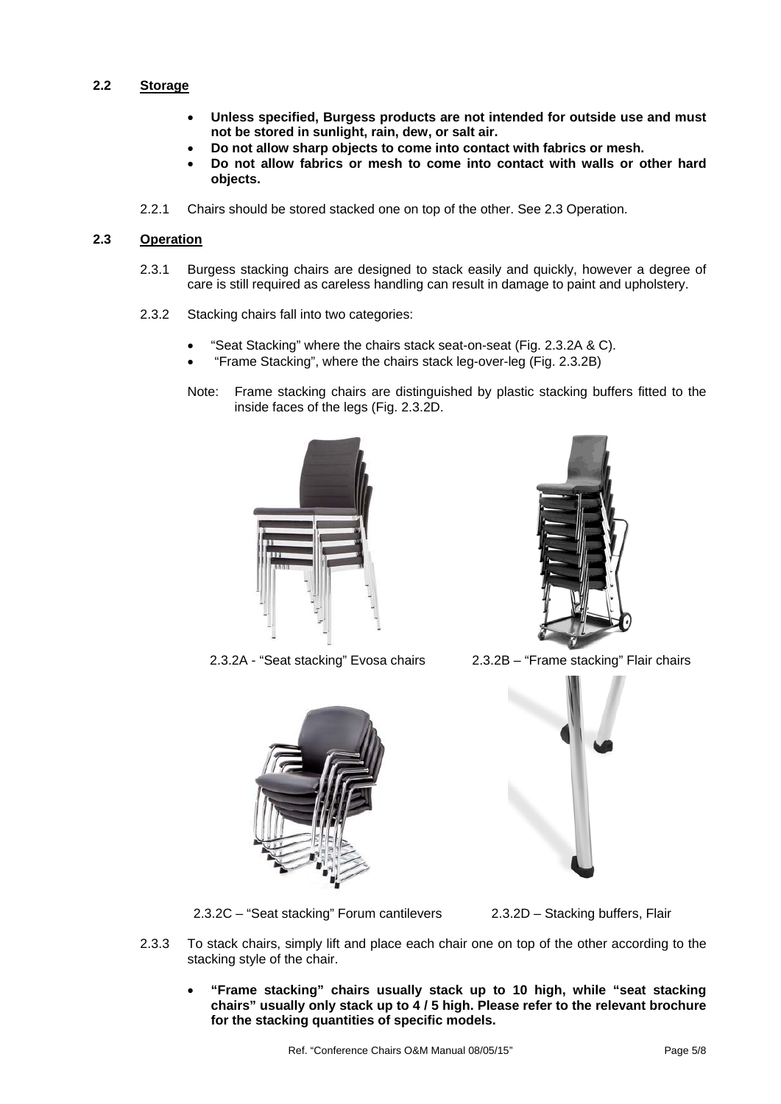#### **2.2 Storage**

- **Unless specified, Burgess products are not intended for outside use and must not be stored in sunlight, rain, dew, or salt air.**
- **Do not allow sharp objects to come into contact with fabrics or mesh.**
- **Do not allow fabrics or mesh to come into contact with walls or other hard objects.**
- 2.2.1 Chairs should be stored stacked one on top of the other. See 2.3 Operation.

#### **2.3 Operation**

- 2.3.1 Burgess stacking chairs are designed to stack easily and quickly, however a degree of care is still required as careless handling can result in damage to paint and upholstery.
- 2.3.2 Stacking chairs fall into two categories:
	- "Seat Stacking" where the chairs stack seat-on-seat (Fig. 2.3.2A & C).
	- "Frame Stacking", where the chairs stack leg-over-leg (Fig. 2.3.2B)
	- Note: Frame stacking chairs are distinguished by plastic stacking buffers fitted to the inside faces of the legs (Fig. 2.3.2D.







2.3.2A - "Seat stacking" Evosa chairs 2.3.2B – "Frame stacking" Flair chairs



2.3.2C – "Seat stacking" Forum cantilevers 2.3.2D – Stacking buffers, Flair

- 2.3.3 To stack chairs, simply lift and place each chair one on top of the other according to the stacking style of the chair.
	- **"Frame stacking" chairs usually stack up to 10 high, while "seat stacking chairs" usually only stack up to 4 / 5 high. Please refer to the relevant brochure for the stacking quantities of specific models.**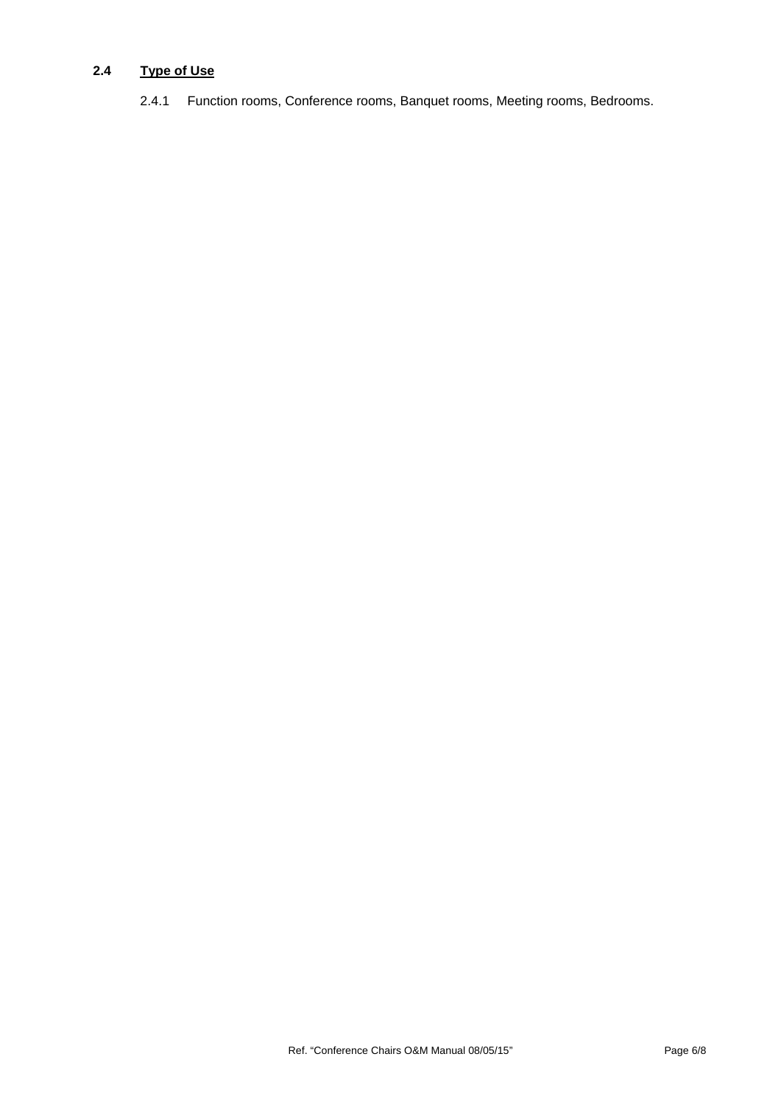#### **2.4 Type of Use**

2.4.1 Function rooms, Conference rooms, Banquet rooms, Meeting rooms, Bedrooms.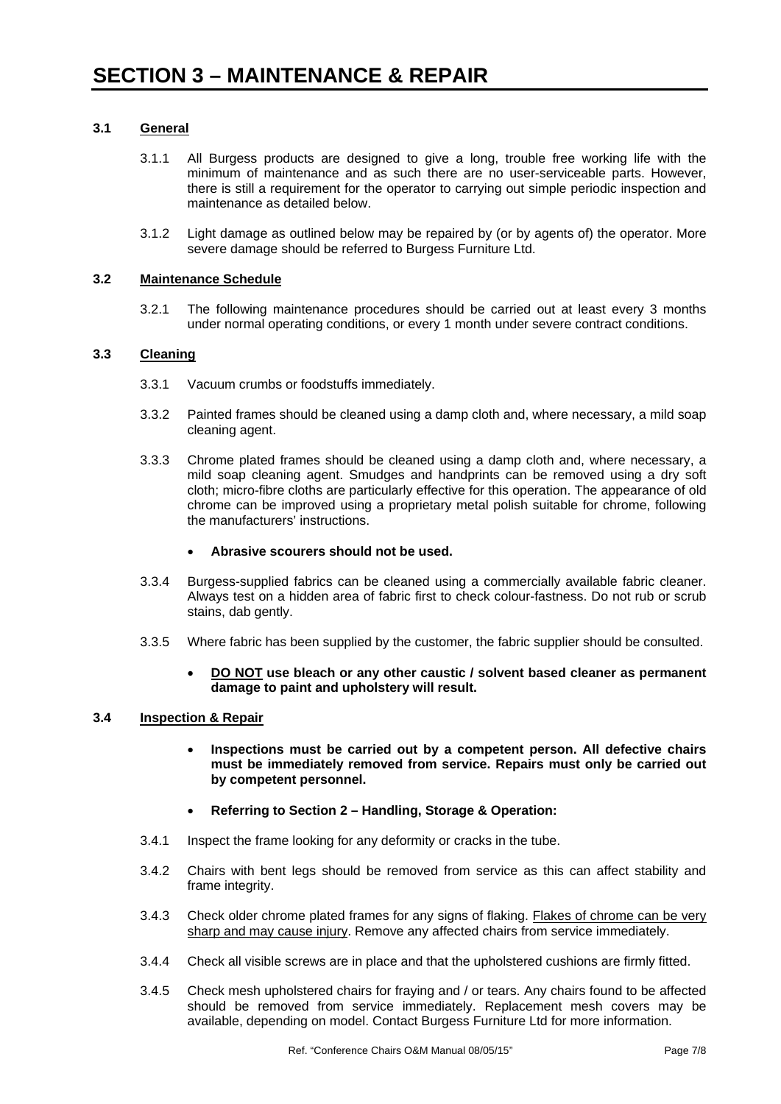#### **3.1 General**

- 3.1.1 All Burgess products are designed to give a long, trouble free working life with the minimum of maintenance and as such there are no user-serviceable parts. However, there is still a requirement for the operator to carrying out simple periodic inspection and maintenance as detailed below.
- 3.1.2 Light damage as outlined below may be repaired by (or by agents of) the operator. More severe damage should be referred to Burgess Furniture Ltd.

#### **3.2 Maintenance Schedule**

3.2.1 The following maintenance procedures should be carried out at least every 3 months under normal operating conditions, or every 1 month under severe contract conditions.

#### **3.3 Cleaning**

- 3.3.1 Vacuum crumbs or foodstuffs immediately.
- 3.3.2 Painted frames should be cleaned using a damp cloth and, where necessary, a mild soap cleaning agent.
- 3.3.3 Chrome plated frames should be cleaned using a damp cloth and, where necessary, a mild soap cleaning agent. Smudges and handprints can be removed using a dry soft cloth; micro-fibre cloths are particularly effective for this operation. The appearance of old chrome can be improved using a proprietary metal polish suitable for chrome, following the manufacturers' instructions.

#### **Abrasive scourers should not be used.**

- 3.3.4 Burgess-supplied fabrics can be cleaned using a commercially available fabric cleaner. Always test on a hidden area of fabric first to check colour-fastness. Do not rub or scrub stains, dab gently.
- 3.3.5 Where fabric has been supplied by the customer, the fabric supplier should be consulted.
	- **DO NOT use bleach or any other caustic / solvent based cleaner as permanent damage to paint and upholstery will result.**

#### **3.4 Inspection & Repair**

- **Inspections must be carried out by a competent person. All defective chairs must be immediately removed from service. Repairs must only be carried out by competent personnel.**
- **Referring to Section 2 Handling, Storage & Operation:**
- 3.4.1 Inspect the frame looking for any deformity or cracks in the tube.
- 3.4.2 Chairs with bent legs should be removed from service as this can affect stability and frame integrity.
- 3.4.3 Check older chrome plated frames for any signs of flaking. Flakes of chrome can be very sharp and may cause injury. Remove any affected chairs from service immediately.
- 3.4.4 Check all visible screws are in place and that the upholstered cushions are firmly fitted.
- 3.4.5 Check mesh upholstered chairs for fraying and / or tears. Any chairs found to be affected should be removed from service immediately. Replacement mesh covers may be available, depending on model. Contact Burgess Furniture Ltd for more information.